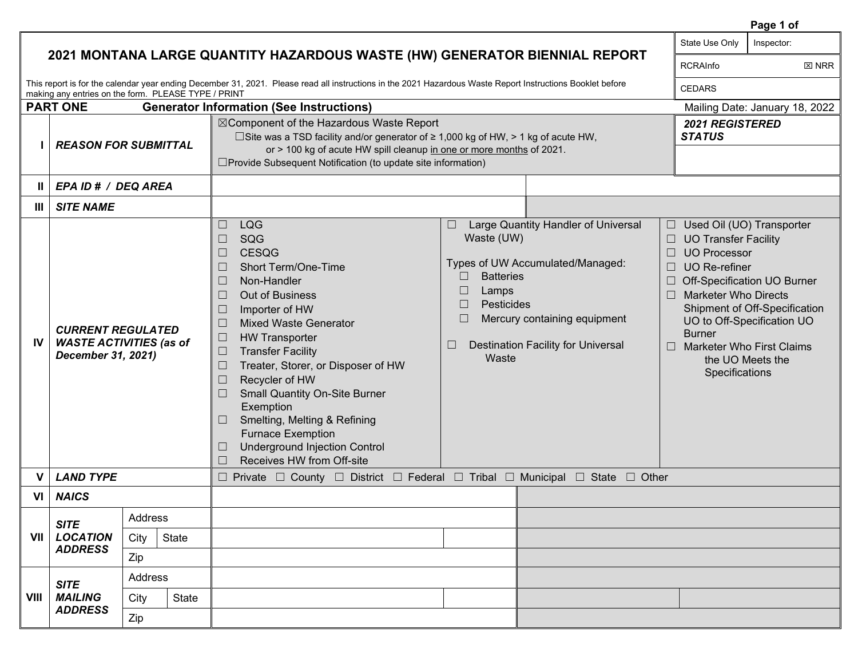|             |                                                                                                                                                                                                                   | State Use Only                 | Inspector:                                                                                                                                                                                                                                                                                                                                                                                                                                                                                                                                                                                                      |                                                                                                                                                                                                                                                                               |                                                  |                                                                                                                                                                                                                                                                                                                |  |
|-------------|-------------------------------------------------------------------------------------------------------------------------------------------------------------------------------------------------------------------|--------------------------------|-----------------------------------------------------------------------------------------------------------------------------------------------------------------------------------------------------------------------------------------------------------------------------------------------------------------------------------------------------------------------------------------------------------------------------------------------------------------------------------------------------------------------------------------------------------------------------------------------------------------|-------------------------------------------------------------------------------------------------------------------------------------------------------------------------------------------------------------------------------------------------------------------------------|--------------------------------------------------|----------------------------------------------------------------------------------------------------------------------------------------------------------------------------------------------------------------------------------------------------------------------------------------------------------------|--|
|             | 2021 MONTANA LARGE QUANTITY HAZARDOUS WASTE (HW) GENERATOR BIENNIAL REPORT                                                                                                                                        | <b>RCRAInfo</b>                | $\boxtimes$ NRR                                                                                                                                                                                                                                                                                                                                                                                                                                                                                                                                                                                                 |                                                                                                                                                                                                                                                                               |                                                  |                                                                                                                                                                                                                                                                                                                |  |
|             | This report is for the calendar year ending December 31, 2021. Please read all instructions in the 2021 Hazardous Waste Report Instructions Booklet before<br>making any entries on the form. PLEASE TYPE / PRINT | <b>CEDARS</b>                  |                                                                                                                                                                                                                                                                                                                                                                                                                                                                                                                                                                                                                 |                                                                                                                                                                                                                                                                               |                                                  |                                                                                                                                                                                                                                                                                                                |  |
|             | <b>PART ONE</b>                                                                                                                                                                                                   | Mailing Date: January 18, 2022 |                                                                                                                                                                                                                                                                                                                                                                                                                                                                                                                                                                                                                 |                                                                                                                                                                                                                                                                               |                                                  |                                                                                                                                                                                                                                                                                                                |  |
|             |                                                                                                                                                                                                                   | <b>REASON FOR SUBMITTAL</b>    | ⊠Component of the Hazardous Waste Report<br>□ Site was a TSD facility and/or generator of $\geq 1,000$ kg of HW, > 1 kg of acute HW,<br>or > 100 kg of acute HW spill cleanup in one or more months of 2021.<br>□ Provide Subsequent Notification (to update site information)                                                                                                                                                                                                                                                                                                                                  | <b>STATUS</b>                                                                                                                                                                                                                                                                 | <b>2021 REGISTERED</b>                           |                                                                                                                                                                                                                                                                                                                |  |
| Ш           | EPA ID # / DEQ AREA                                                                                                                                                                                               |                                |                                                                                                                                                                                                                                                                                                                                                                                                                                                                                                                                                                                                                 |                                                                                                                                                                                                                                                                               |                                                  |                                                                                                                                                                                                                                                                                                                |  |
| Ш           | <b>SITE NAME</b>                                                                                                                                                                                                  |                                |                                                                                                                                                                                                                                                                                                                                                                                                                                                                                                                                                                                                                 |                                                                                                                                                                                                                                                                               |                                                  |                                                                                                                                                                                                                                                                                                                |  |
| IV          | <b>CURRENT REGULATED</b><br><b>WASTE ACTIVITIES (as of</b><br>December 31, 2021)                                                                                                                                  |                                | $\Box$<br><b>LQG</b><br>SQG<br>$\Box$<br><b>CESQG</b><br>$\Box$<br>Short Term/One-Time<br>$\Box$<br>Non-Handler<br>$\Box$<br>Out of Business<br>$\Box$<br>Importer of HW<br>$\Box$<br><b>Mixed Waste Generator</b><br>$\Box$<br>$\Box$<br><b>HW Transporter</b><br><b>Transfer Facility</b><br>$\Box$<br>Treater, Storer, or Disposer of HW<br>$\Box$<br>Recycler of HW<br>$\Box$<br><b>Small Quantity On-Site Burner</b><br>$\Box$<br>Exemption<br>Smelting, Melting & Refining<br>$\Box$<br><b>Furnace Exemption</b><br><b>Underground Injection Control</b><br>$\Box$<br>$\Box$<br>Receives HW from Off-site | Large Quantity Handler of Universal<br>$\Box$<br>Waste (UW)<br>Types of UW Accumulated/Managed:<br><b>Batteries</b><br>$\Box$<br>$\Box$<br>Lamps<br>Pesticides<br>$\Box$<br>Mercury containing equipment<br>$\Box$<br><b>Destination Facility for Universal</b><br>⊔<br>Waste | $\Box$<br>$\Box$<br>П<br><b>Burner</b><br>$\Box$ | Used Oil (UO) Transporter<br><b>UO Transfer Facility</b><br><b>UO Processor</b><br><b>UO</b> Re-refiner<br>Off-Specification UO Burner<br><b>Marketer Who Directs</b><br>Shipment of Off-Specification<br>UO to Off-Specification UO<br><b>Marketer Who First Claims</b><br>the UO Meets the<br>Specifications |  |
| v           | <b>LAND TYPE</b>                                                                                                                                                                                                  |                                |                                                                                                                                                                                                                                                                                                                                                                                                                                                                                                                                                                                                                 | $\Box$ Private $\Box$ County $\Box$ District $\Box$ Federal $\Box$ Tribal $\Box$ Municipal $\Box$ State $\Box$ Other                                                                                                                                                          |                                                  |                                                                                                                                                                                                                                                                                                                |  |
| VI          | <b>NAICS</b>                                                                                                                                                                                                      |                                |                                                                                                                                                                                                                                                                                                                                                                                                                                                                                                                                                                                                                 |                                                                                                                                                                                                                                                                               |                                                  |                                                                                                                                                                                                                                                                                                                |  |
| VII         | <b>SITE</b>                                                                                                                                                                                                       | Address                        |                                                                                                                                                                                                                                                                                                                                                                                                                                                                                                                                                                                                                 |                                                                                                                                                                                                                                                                               |                                                  |                                                                                                                                                                                                                                                                                                                |  |
|             | <b>LOCATION</b>                                                                                                                                                                                                   | State<br>City                  |                                                                                                                                                                                                                                                                                                                                                                                                                                                                                                                                                                                                                 |                                                                                                                                                                                                                                                                               |                                                  |                                                                                                                                                                                                                                                                                                                |  |
|             | <b>ADDRESS</b>                                                                                                                                                                                                    | Zip                            |                                                                                                                                                                                                                                                                                                                                                                                                                                                                                                                                                                                                                 |                                                                                                                                                                                                                                                                               |                                                  |                                                                                                                                                                                                                                                                                                                |  |
|             | <b>SITE</b>                                                                                                                                                                                                       | Address                        |                                                                                                                                                                                                                                                                                                                                                                                                                                                                                                                                                                                                                 |                                                                                                                                                                                                                                                                               |                                                  |                                                                                                                                                                                                                                                                                                                |  |
| <b>VIII</b> | <b>MAILING</b>                                                                                                                                                                                                    | State<br>City                  |                                                                                                                                                                                                                                                                                                                                                                                                                                                                                                                                                                                                                 |                                                                                                                                                                                                                                                                               |                                                  |                                                                                                                                                                                                                                                                                                                |  |
|             | <b>ADDRESS</b>                                                                                                                                                                                                    | Zip                            |                                                                                                                                                                                                                                                                                                                                                                                                                                                                                                                                                                                                                 |                                                                                                                                                                                                                                                                               |                                                  |                                                                                                                                                                                                                                                                                                                |  |

 **Page 1 of**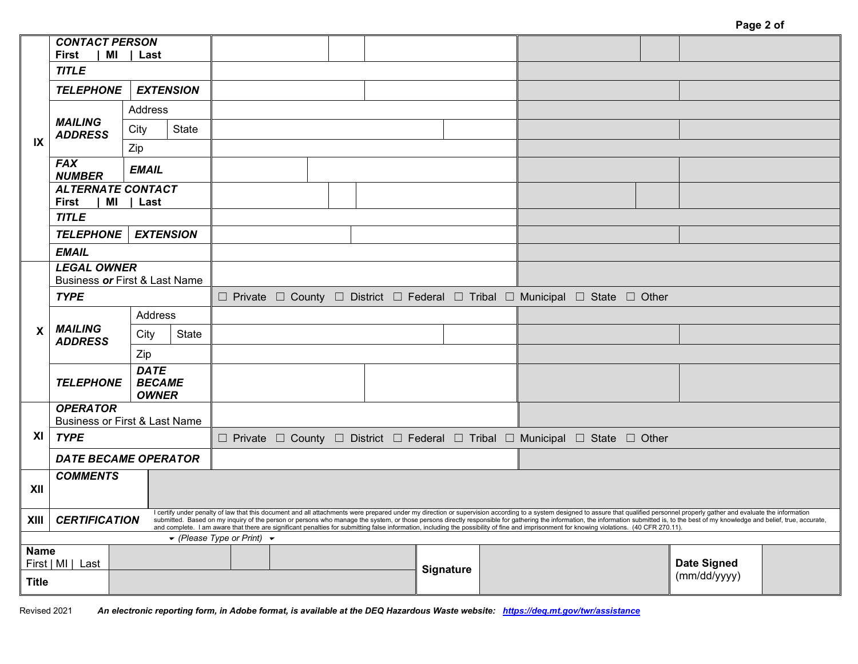|                           | <b>CONTACT PERSON</b><br>First<br>MI<br>  Last                   |                  |                  |                                                                    |  |                                                                                                                                                                                                                                                                                                                                                                                                                                                                  |  |                                                                              |                    |  |
|---------------------------|------------------------------------------------------------------|------------------|------------------|--------------------------------------------------------------------|--|------------------------------------------------------------------------------------------------------------------------------------------------------------------------------------------------------------------------------------------------------------------------------------------------------------------------------------------------------------------------------------------------------------------------------------------------------------------|--|------------------------------------------------------------------------------|--------------------|--|
|                           | <b>TITLE</b>                                                     |                  |                  |                                                                    |  |                                                                                                                                                                                                                                                                                                                                                                                                                                                                  |  |                                                                              |                    |  |
|                           | <b>TELEPHONE</b>                                                 | <b>EXTENSION</b> |                  |                                                                    |  |                                                                                                                                                                                                                                                                                                                                                                                                                                                                  |  |                                                                              |                    |  |
|                           |                                                                  | Address          |                  |                                                                    |  |                                                                                                                                                                                                                                                                                                                                                                                                                                                                  |  |                                                                              |                    |  |
|                           | <b>MAILING</b><br><b>ADDRESS</b>                                 | City             | <b>State</b>     |                                                                    |  |                                                                                                                                                                                                                                                                                                                                                                                                                                                                  |  |                                                                              |                    |  |
| IX                        |                                                                  | Zip              |                  |                                                                    |  |                                                                                                                                                                                                                                                                                                                                                                                                                                                                  |  |                                                                              |                    |  |
|                           | <b>FAX</b><br><b>NUMBER</b>                                      | <b>EMAIL</b>     |                  |                                                                    |  |                                                                                                                                                                                                                                                                                                                                                                                                                                                                  |  |                                                                              |                    |  |
|                           | <b>ALTERNATE CONTACT</b><br>First<br>MI                          | Last             |                  |                                                                    |  |                                                                                                                                                                                                                                                                                                                                                                                                                                                                  |  |                                                                              |                    |  |
|                           | <b>TITLE</b>                                                     |                  |                  |                                                                    |  |                                                                                                                                                                                                                                                                                                                                                                                                                                                                  |  |                                                                              |                    |  |
|                           | <b>TELEPHONE</b>                                                 |                  | <b>EXTENSION</b> |                                                                    |  |                                                                                                                                                                                                                                                                                                                                                                                                                                                                  |  |                                                                              |                    |  |
|                           | <b>EMAIL</b>                                                     |                  |                  |                                                                    |  |                                                                                                                                                                                                                                                                                                                                                                                                                                                                  |  |                                                                              |                    |  |
|                           | <b>LEGAL OWNER</b><br>Business or First & Last Name              |                  |                  |                                                                    |  |                                                                                                                                                                                                                                                                                                                                                                                                                                                                  |  |                                                                              |                    |  |
|                           | <b>TYPE</b>                                                      |                  |                  |                                                                    |  |                                                                                                                                                                                                                                                                                                                                                                                                                                                                  |  | □ Private □ County □ District □ Federal □ Tribal □ Municipal □ State □ Other |                    |  |
|                           |                                                                  |                  | Address          |                                                                    |  |                                                                                                                                                                                                                                                                                                                                                                                                                                                                  |  |                                                                              |                    |  |
| $\boldsymbol{\mathsf{x}}$ | <b>MAILING</b><br><b>ADDRESS</b>                                 | City             | State            |                                                                    |  |                                                                                                                                                                                                                                                                                                                                                                                                                                                                  |  |                                                                              |                    |  |
|                           |                                                                  | Zip              |                  |                                                                    |  |                                                                                                                                                                                                                                                                                                                                                                                                                                                                  |  |                                                                              |                    |  |
|                           | <b>DATE</b><br><b>BECAME</b><br><b>TELEPHONE</b><br><b>OWNER</b> |                  |                  |                                                                    |  |                                                                                                                                                                                                                                                                                                                                                                                                                                                                  |  |                                                                              |                    |  |
|                           | <b>OPERATOR</b>                                                  |                  |                  |                                                                    |  |                                                                                                                                                                                                                                                                                                                                                                                                                                                                  |  |                                                                              |                    |  |
| XI                        | Business or First & Last Name<br><b>TYPE</b>                     |                  |                  |                                                                    |  |                                                                                                                                                                                                                                                                                                                                                                                                                                                                  |  | □ Private □ County □ District □ Federal □ Tribal □ Municipal □ State □ Other |                    |  |
|                           | <b>DATE BECAME OPERATOR</b>                                      |                  |                  |                                                                    |  |                                                                                                                                                                                                                                                                                                                                                                                                                                                                  |  |                                                                              |                    |  |
|                           | <b>COMMENTS</b>                                                  |                  |                  |                                                                    |  |                                                                                                                                                                                                                                                                                                                                                                                                                                                                  |  |                                                                              |                    |  |
| XII                       |                                                                  |                  |                  |                                                                    |  |                                                                                                                                                                                                                                                                                                                                                                                                                                                                  |  |                                                                              |                    |  |
| XIII                      | <b>CERTIFICATION</b>                                             |                  |                  |                                                                    |  | I certify under penalty of law that this document and all attachments were prepared under my direction or supervision according to a system designed to assure that qualified personnel properly gather and evaluate the infor<br>submitted. Based on my inquiry of the person or persons who manage the system, or those persons directly responsible for gathering the information, the information submitted is, to the best of my knowledge and belief, true |  |                                                                              |                    |  |
|                           |                                                                  |                  |                  | $\blacktriangleright$ (Please Type or Print) $\blacktriangleright$ |  |                                                                                                                                                                                                                                                                                                                                                                                                                                                                  |  |                                                                              |                    |  |
|                           | Name<br>First   MI   Last                                        |                  |                  |                                                                    |  |                                                                                                                                                                                                                                                                                                                                                                                                                                                                  |  |                                                                              | <b>Date Signed</b> |  |
| <b>Title</b>              |                                                                  |                  |                  |                                                                    |  | Signature                                                                                                                                                                                                                                                                                                                                                                                                                                                        |  | (mm/dd/yyyy)                                                                 |                    |  |

Revised 2021 *An electronic reporting form, in Adobe format, is available at the DEQ Hazardous Waste website: [https://deq.mt.gov/twr/assistance](https://deq.mt.gov/twr/assistance#accordion2-collapse1)*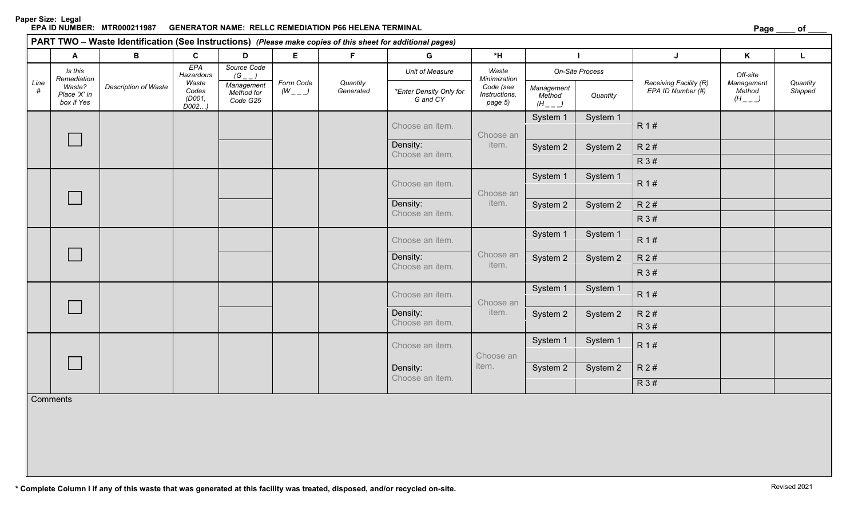**Paper Size: Legal** GENERATOR NAME: RELLC REMEDIATION P66 HELENA TERMINAL **Page and the end of the control of the control of the control of the control of the control of the control of the control of the control of the control of the control** 

|           | A                                                              | B                    | $\mathbf{C}$                     | D                                    | E                        | $\mathsf F$           | G                                          | $*$ H                                 |                                     |          | J                                           | K                                   | $\mathsf{L}$        |
|-----------|----------------------------------------------------------------|----------------------|----------------------------------|--------------------------------------|--------------------------|-----------------------|--------------------------------------------|---------------------------------------|-------------------------------------|----------|---------------------------------------------|-------------------------------------|---------------------|
| Line<br># | Is this<br>Remediation<br>Waste?<br>Place 'X' in<br>box if Yes | Description of Waste | EPA<br>Hazardous                 | Source Code<br>$(G_$                 |                          |                       | Unit of Measure                            | Waste<br>Minimization                 | On-Site Process                     |          |                                             | Off-site                            |                     |
|           |                                                                |                      | Waste<br>Codes<br>(D001,<br>D002 | Management<br>Method for<br>Code G25 | Form Code<br>$(W_{---})$ | Quantity<br>Generated | <i>*Enter Density Only for</i><br>G and CY | Code (see<br>Instructions,<br>page 5) | Management<br>Method<br>$(H_{---})$ | Quantity | Receiving Facility (R)<br>EPA ID Number (#) | Management<br>Method<br>$(H_{---})$ | Quantity<br>Shipped |
|           |                                                                |                      |                                  |                                      |                          |                       | Choose an item.                            | Choose an<br>item.                    | System 1                            | System 1 | R 1#                                        |                                     |                     |
|           |                                                                |                      |                                  |                                      |                          |                       | Density:                                   |                                       | System 2                            | System 2 | R 2 #                                       |                                     |                     |
|           |                                                                |                      |                                  |                                      |                          |                       | Choose an item.                            |                                       |                                     |          | R 3 #                                       |                                     |                     |
|           |                                                                |                      |                                  |                                      |                          |                       | Choose an item.                            | Choose an                             | System 1                            | System 1 | R 1#                                        |                                     |                     |
|           |                                                                |                      |                                  |                                      |                          |                       | Density:                                   | item.                                 | System 2                            | System 2 | R 2 #                                       |                                     |                     |
|           |                                                                |                      |                                  |                                      |                          |                       | Choose an item.                            |                                       |                                     |          | R 3 #                                       |                                     |                     |
|           |                                                                |                      |                                  |                                      |                          |                       | Choose an item.                            |                                       | System 1                            | System 1 | R 1#                                        |                                     |                     |
|           |                                                                |                      |                                  |                                      | Density:                 | Choose an<br>item.    | System 2                                   | System 2                              | R 2 #                               |          |                                             |                                     |                     |
|           |                                                                |                      |                                  |                                      |                          |                       | Choose an item.                            |                                       |                                     |          | R 3 #                                       |                                     |                     |
|           |                                                                |                      |                                  |                                      |                          |                       | Choose an item.                            | Choose an<br>item.                    | System 1                            | System 1 | R 1#                                        |                                     |                     |
|           |                                                                |                      |                                  |                                      |                          |                       | Density:                                   |                                       | System 2                            | System 2 | R 2 #                                       |                                     |                     |
|           |                                                                |                      |                                  |                                      |                          |                       | Choose an item.                            |                                       |                                     |          | R 3 #                                       |                                     |                     |
|           |                                                                |                      |                                  |                                      |                          |                       | Choose an item.<br>Density:                | Choose an<br>item.                    | System 1                            | System 1 | R 1#                                        |                                     |                     |
|           |                                                                |                      |                                  |                                      |                          |                       |                                            |                                       | System 2                            | System 2 | R2#                                         |                                     |                     |
|           |                                                                |                      |                                  |                                      |                          |                       | Choose an item.                            |                                       |                                     |          | R 3#                                        |                                     |                     |
|           | Comments                                                       |                      |                                  |                                      |                          |                       |                                            |                                       |                                     |          |                                             |                                     |                     |